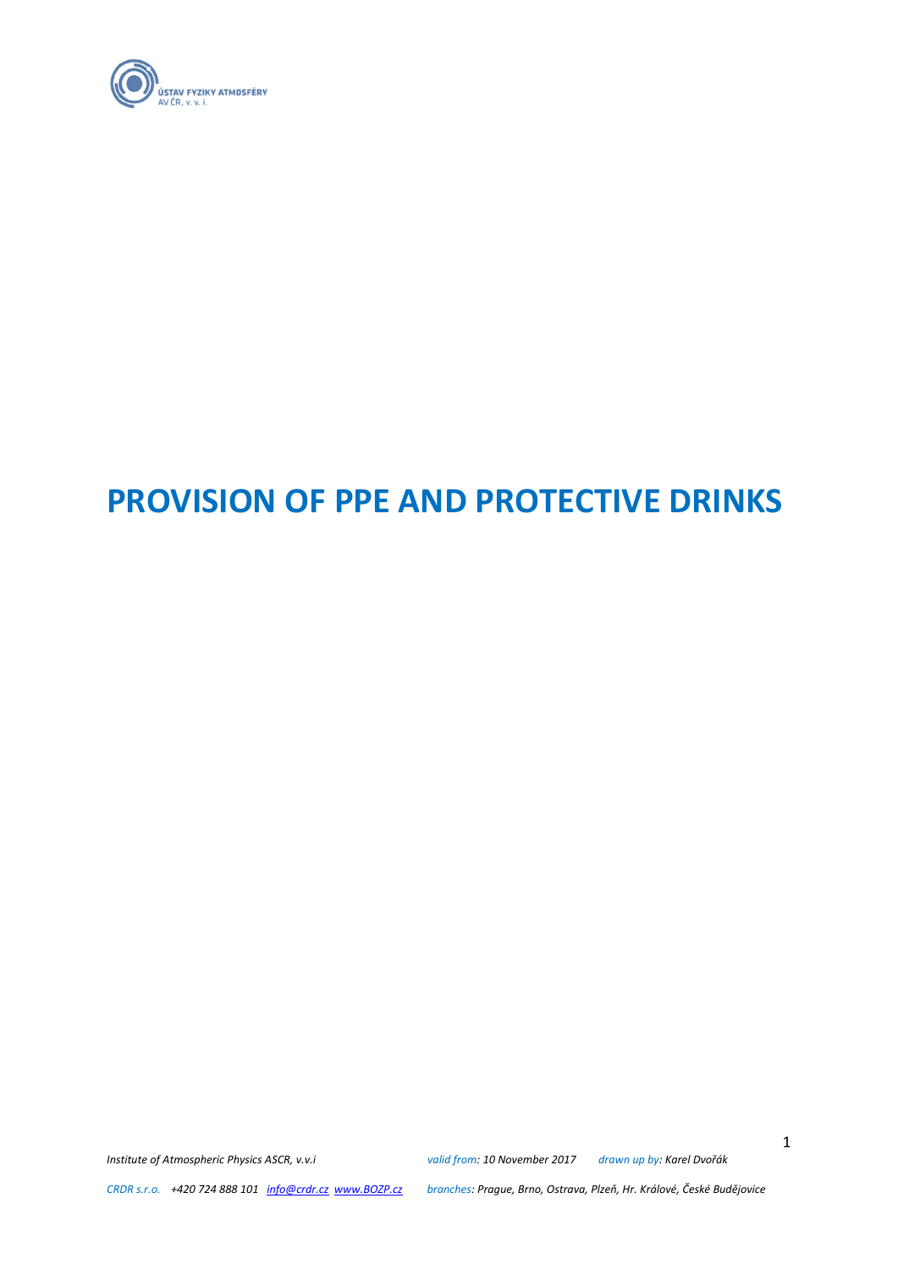

# **PROVISION OF PPE AND PROTECTIVE DRINKS**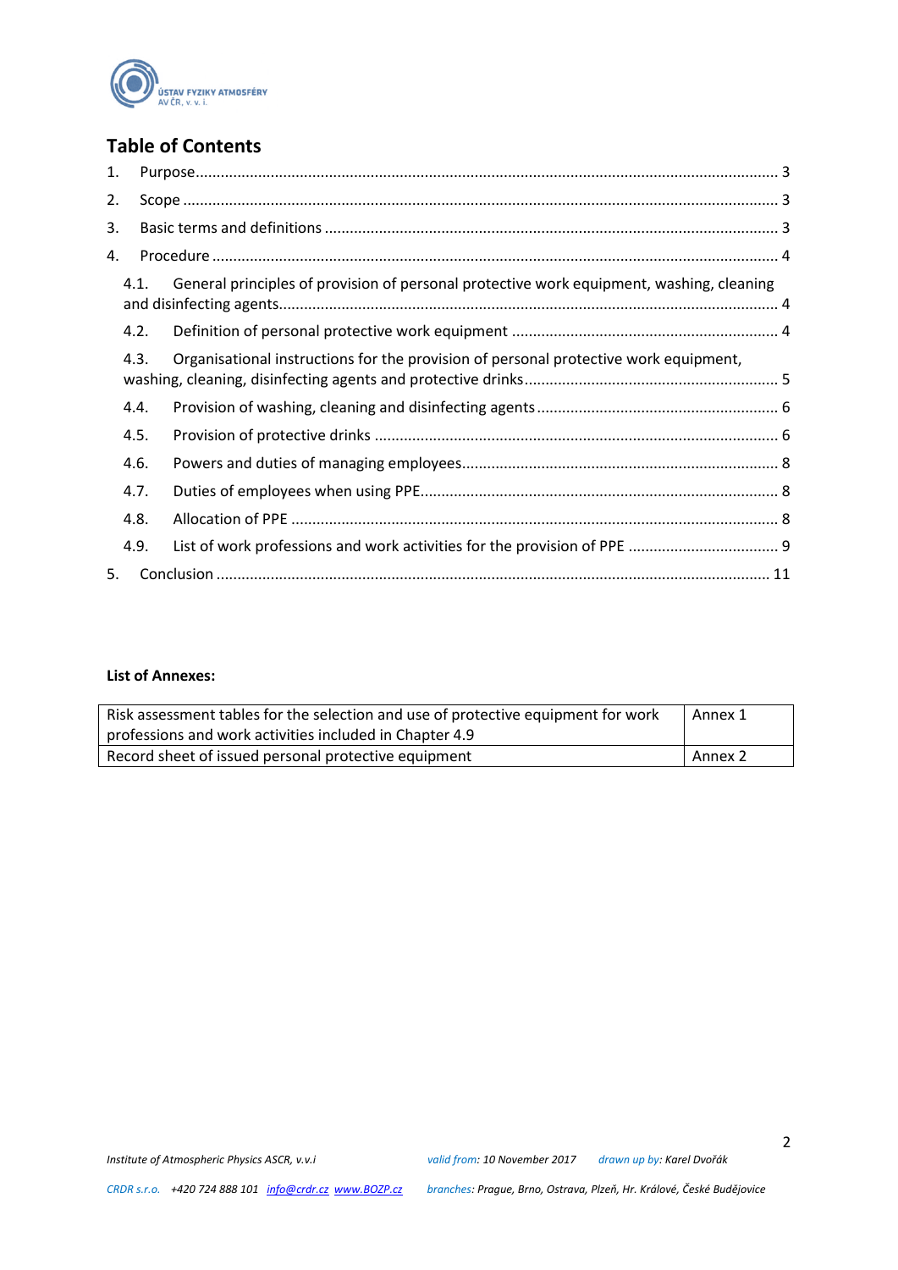

# **Table of Contents**

| 1. |      |                                                                                          |  |
|----|------|------------------------------------------------------------------------------------------|--|
| 2. |      |                                                                                          |  |
| 3. |      |                                                                                          |  |
| 4. |      |                                                                                          |  |
|    | 4.1. | General principles of provision of personal protective work equipment, washing, cleaning |  |
|    | 4.2. |                                                                                          |  |
|    | 4.3. | Organisational instructions for the provision of personal protective work equipment,     |  |
|    | 4.4. |                                                                                          |  |
|    | 4.5. |                                                                                          |  |
|    | 4.6. |                                                                                          |  |
|    | 4.7. |                                                                                          |  |
|    | 4.8. |                                                                                          |  |
|    | 4.9. |                                                                                          |  |
| 5. |      |                                                                                          |  |

### **List of Annexes:**

| Risk assessment tables for the selection and use of protective equipment for work<br>professions and work activities included in Chapter 4.9 | Annex 1 |
|----------------------------------------------------------------------------------------------------------------------------------------------|---------|
| Record sheet of issued personal protective equipment                                                                                         | Annex 2 |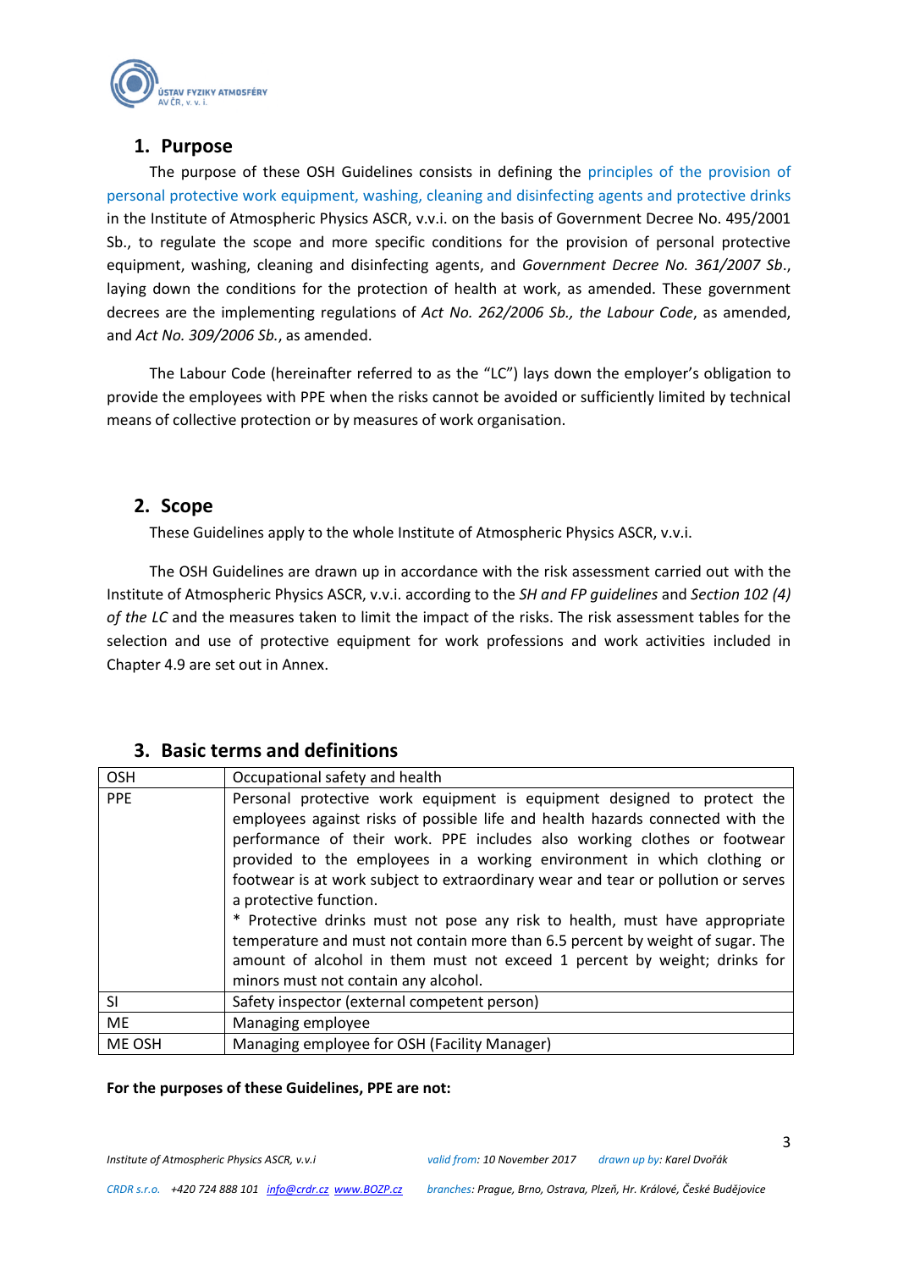

# **1. Purpose**

<span id="page-2-0"></span>The purpose of these OSH Guidelines consists in defining the principles of the provision of personal protective work equipment, washing, cleaning and disinfecting agents and protective drinks in the Institute of Atmospheric Physics ASCR, v.v.i. on the basis of Government Decree No. 495/2001 Sb., to regulate the scope and more specific conditions for the provision of personal protective equipment, washing, cleaning and disinfecting agents, and *Government Decree No. 361/2007 Sb*., laying down the conditions for the protection of health at work, as amended. These government decrees are the implementing regulations of *Act No. 262/2006 Sb., the Labour Code*, as amended, and *Act No. 309/2006 Sb.*, as amended.

The Labour Code (hereinafter referred to as the "LC") lays down the employer's obligation to provide the employees with PPE when the risks cannot be avoided or sufficiently limited by technical means of collective protection or by measures of work organisation.

# <span id="page-2-1"></span>**2. Scope**

These Guidelines apply to the whole Institute of Atmospheric Physics ASCR, v.v.i.

The OSH Guidelines are drawn up in accordance with the risk assessment carried out with the Institute of Atmospheric Physics ASCR, v.v.i. according to the *SH and FP guidelines* and *Section 102 (4) of the LC* and the measures taken to limit the impact of the risks. The risk assessment tables for the selection and use of protective equipment for work professions and work activities included in Chapter 4.9 are set out in Annex.

# <span id="page-2-2"></span>**3. Basic terms and definitions**

| <b>OSH</b> | Occupational safety and health                                                                                                                                                                                                                                                                                                                                                                                                                                                                                                                                                                                                                                                                                        |
|------------|-----------------------------------------------------------------------------------------------------------------------------------------------------------------------------------------------------------------------------------------------------------------------------------------------------------------------------------------------------------------------------------------------------------------------------------------------------------------------------------------------------------------------------------------------------------------------------------------------------------------------------------------------------------------------------------------------------------------------|
| <b>PPE</b> | Personal protective work equipment is equipment designed to protect the<br>employees against risks of possible life and health hazards connected with the<br>performance of their work. PPE includes also working clothes or footwear<br>provided to the employees in a working environment in which clothing or<br>footwear is at work subject to extraordinary wear and tear or pollution or serves<br>a protective function.<br>* Protective drinks must not pose any risk to health, must have appropriate<br>temperature and must not contain more than 6.5 percent by weight of sugar. The<br>amount of alcohol in them must not exceed 1 percent by weight; drinks for<br>minors must not contain any alcohol. |
| <b>SI</b>  | Safety inspector (external competent person)                                                                                                                                                                                                                                                                                                                                                                                                                                                                                                                                                                                                                                                                          |
| <b>ME</b>  | Managing employee                                                                                                                                                                                                                                                                                                                                                                                                                                                                                                                                                                                                                                                                                                     |
| ME OSH     | Managing employee for OSH (Facility Manager)                                                                                                                                                                                                                                                                                                                                                                                                                                                                                                                                                                                                                                                                          |

#### **For the purposes of these Guidelines, PPE are not:**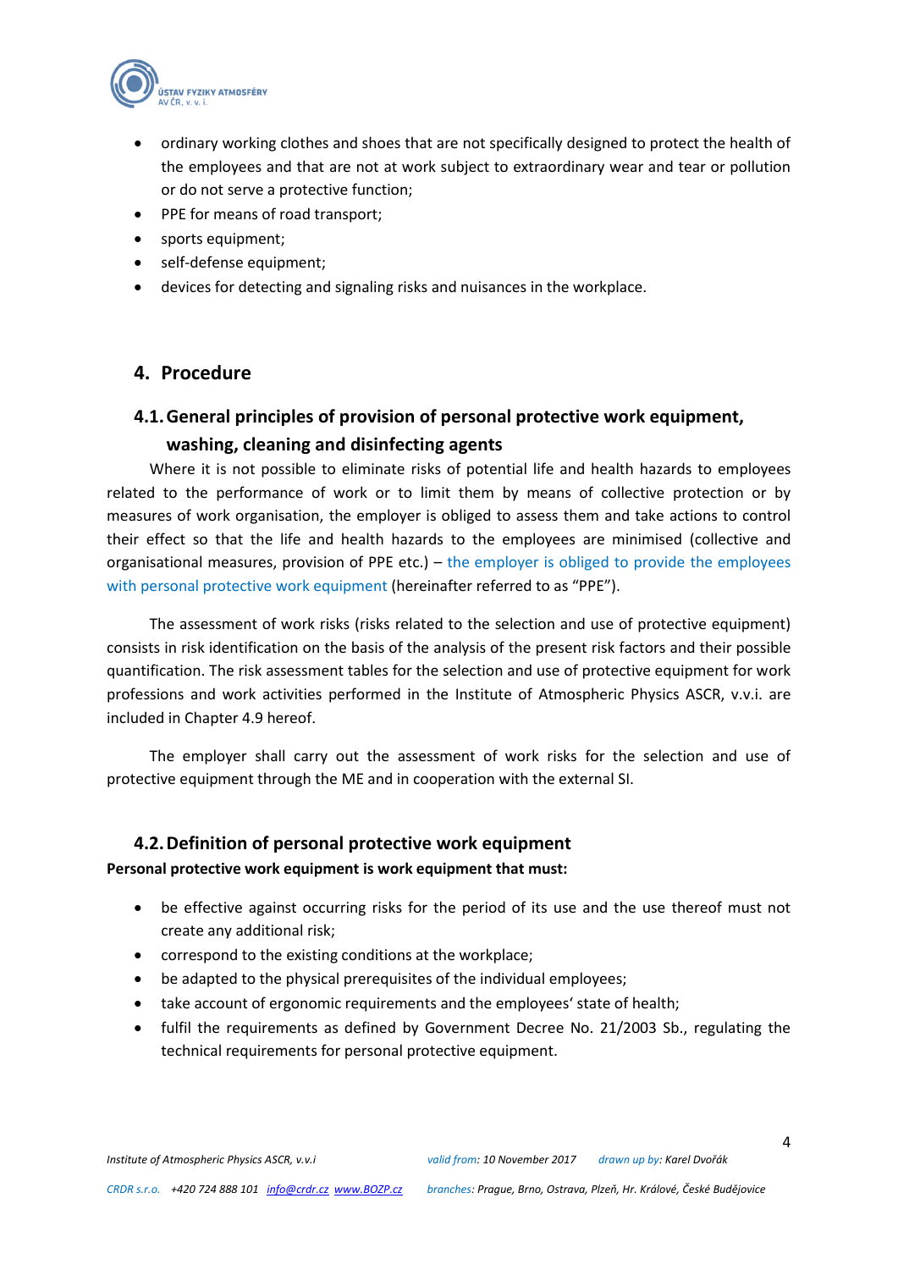

- ordinary working clothes and shoes that are not specifically designed to protect the health of the employees and that are not at work subject to extraordinary wear and tear or pollution or do not serve a protective function;
- PPE for means of road transport;
- sports equipment;
- self-defense equipment;
- devices for detecting and signaling risks and nuisances in the workplace.

# <span id="page-3-0"></span>**4. Procedure**

# <span id="page-3-1"></span>**4.1.General principles of provision of personal protective work equipment, washing, cleaning and disinfecting agents**

Where it is not possible to eliminate risks of potential life and health hazards to employees related to the performance of work or to limit them by means of collective protection or by measures of work organisation, the employer is obliged to assess them and take actions to control their effect so that the life and health hazards to the employees are minimised (collective and organisational measures, provision of PPE etc.) – the employer is obliged to provide the employees with personal protective work equipment (hereinafter referred to as "PPE").

The assessment of work risks (risks related to the selection and use of protective equipment) consists in risk identification on the basis of the analysis of the present risk factors and their possible quantification. The risk assessment tables for the selection and use of protective equipment for work professions and work activities performed in the Institute of Atmospheric Physics ASCR, v.v.i. are included in Chapter 4.9 hereof.

The employer shall carry out the assessment of work risks for the selection and use of protective equipment through the ME and in cooperation with the external SI.

#### <span id="page-3-2"></span>**4.2.Definition of personal protective work equipment**

**Personal protective work equipment is work equipment that must:**

- be effective against occurring risks for the period of its use and the use thereof must not create any additional risk;
- correspond to the existing conditions at the workplace;
- be adapted to the physical prerequisites of the individual employees;
- take account of ergonomic requirements and the employees' state of health;
- fulfil the requirements as defined by Government Decree No. 21/2003 Sb., regulating the technical requirements for personal protective equipment.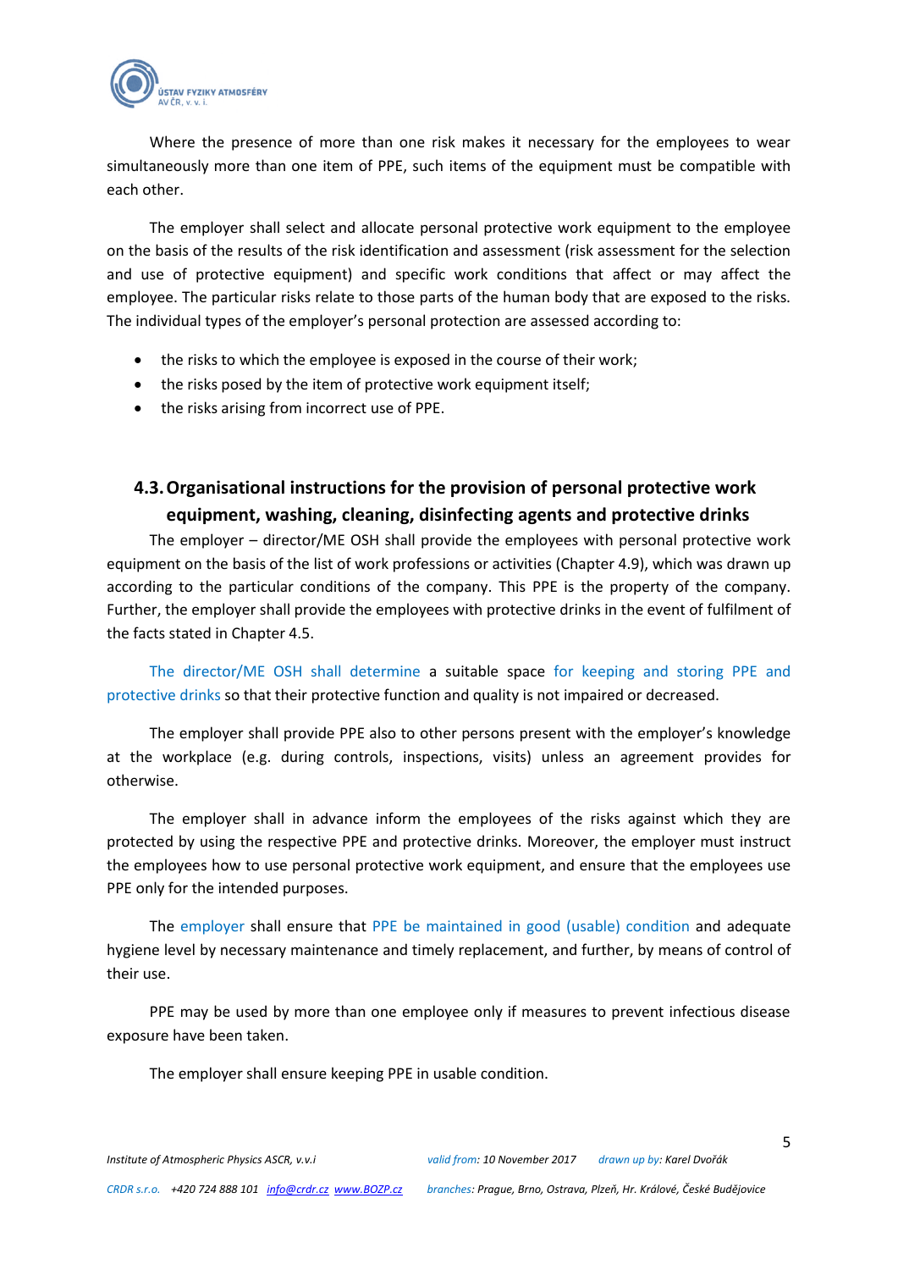

Where the presence of more than one risk makes it necessary for the employees to wear simultaneously more than one item of PPE, such items of the equipment must be compatible with each other.

The employer shall select and allocate personal protective work equipment to the employee on the basis of the results of the risk identification and assessment (risk assessment for the selection and use of protective equipment) and specific work conditions that affect or may affect the employee. The particular risks relate to those parts of the human body that are exposed to the risks. The individual types of the employer's personal protection are assessed according to:

- the risks to which the employee is exposed in the course of their work;
- the risks posed by the item of protective work equipment itself;
- the risks arising from incorrect use of PPE.

# <span id="page-4-0"></span>**4.3.Organisational instructions for the provision of personal protective work equipment, washing, cleaning, disinfecting agents and protective drinks**

The employer – director/ME OSH shall provide the employees with personal protective work equipment on the basis of the list of work professions or activities (Chapter 4.9), which was drawn up according to the particular conditions of the company. This PPE is the property of the company. Further, the employer shall provide the employees with protective drinks in the event of fulfilment of the facts stated in Chapter 4.5.

The director/ME OSH shall determine a suitable space for keeping and storing PPE and protective drinks so that their protective function and quality is not impaired or decreased.

The employer shall provide PPE also to other persons present with the employer's knowledge at the workplace (e.g. during controls, inspections, visits) unless an agreement provides for otherwise.

The employer shall in advance inform the employees of the risks against which they are protected by using the respective PPE and protective drinks. Moreover, the employer must instruct the employees how to use personal protective work equipment, and ensure that the employees use PPE only for the intended purposes.

The employer shall ensure that PPE be maintained in good (usable) condition and adequate hygiene level by necessary maintenance and timely replacement, and further, by means of control of their use.

PPE may be used by more than one employee only if measures to prevent infectious disease exposure have been taken.

The employer shall ensure keeping PPE in usable condition.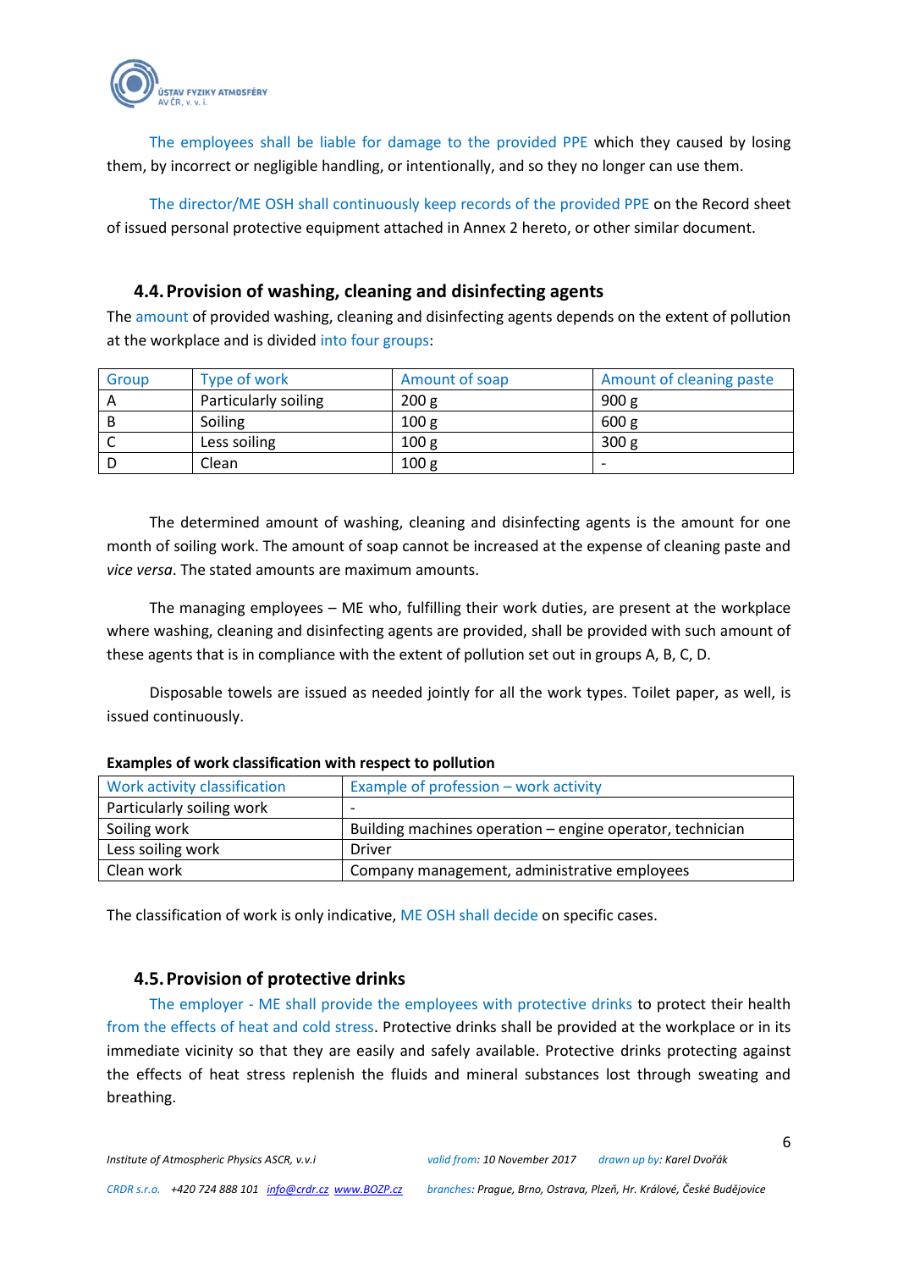

The employees shall be liable for damage to the provided PPE which they caused by losing them, by incorrect or negligible handling, or intentionally, and so they no longer can use them.

The director/ME OSH shall continuously keep records of the provided PPE on the Record sheet of issued personal protective equipment attached in Annex 2 hereto, or other similar document.

#### <span id="page-5-0"></span>**4.4.Provision of washing, cleaning and disinfecting agents**

The amount of provided washing, cleaning and disinfecting agents depends on the extent of pollution at the workplace and is divided into four groups:

| Group | Type of work         | Amount of soap   | Amount of cleaning paste |
|-------|----------------------|------------------|--------------------------|
|       | Particularly soiling | 200 <sub>g</sub> | 900 g                    |
|       | Soiling              | 100 <sub>g</sub> | 600 g                    |
|       | Less soiling         | 100 <sub>g</sub> | 300 g                    |
|       | Clean                | 100 <sub>g</sub> | $\overline{\phantom{0}}$ |

The determined amount of washing, cleaning and disinfecting agents is the amount for one month of soiling work. The amount of soap cannot be increased at the expense of cleaning paste and *vice versa*. The stated amounts are maximum amounts.

The managing employees – ME who, fulfilling their work duties, are present at the workplace where washing, cleaning and disinfecting agents are provided, shall be provided with such amount of these agents that is in compliance with the extent of pollution set out in groups A, B, C, D.

Disposable towels are issued as needed jointly for all the work types. Toilet paper, as well, is issued continuously.

| Work activity classification | Example of profession - work activity                     |
|------------------------------|-----------------------------------------------------------|
| Particularly soiling work    |                                                           |
| Soiling work                 | Building machines operation – engine operator, technician |
| Less soiling work            | Driver                                                    |
| Clean work                   | Company management, administrative employees              |

#### **Examples of work classification with respect to pollution**

The classification of work is only indicative, ME OSH shall decide on specific cases.

#### <span id="page-5-1"></span>**4.5.Provision of protective drinks**

The employer - ME shall provide the employees with protective drinks to protect their health from the effects of heat and cold stress. Protective drinks shall be provided at the workplace or in its immediate vicinity so that they are easily and safely available. Protective drinks protecting against the effects of heat stress replenish the fluids and mineral substances lost through sweating and breathing.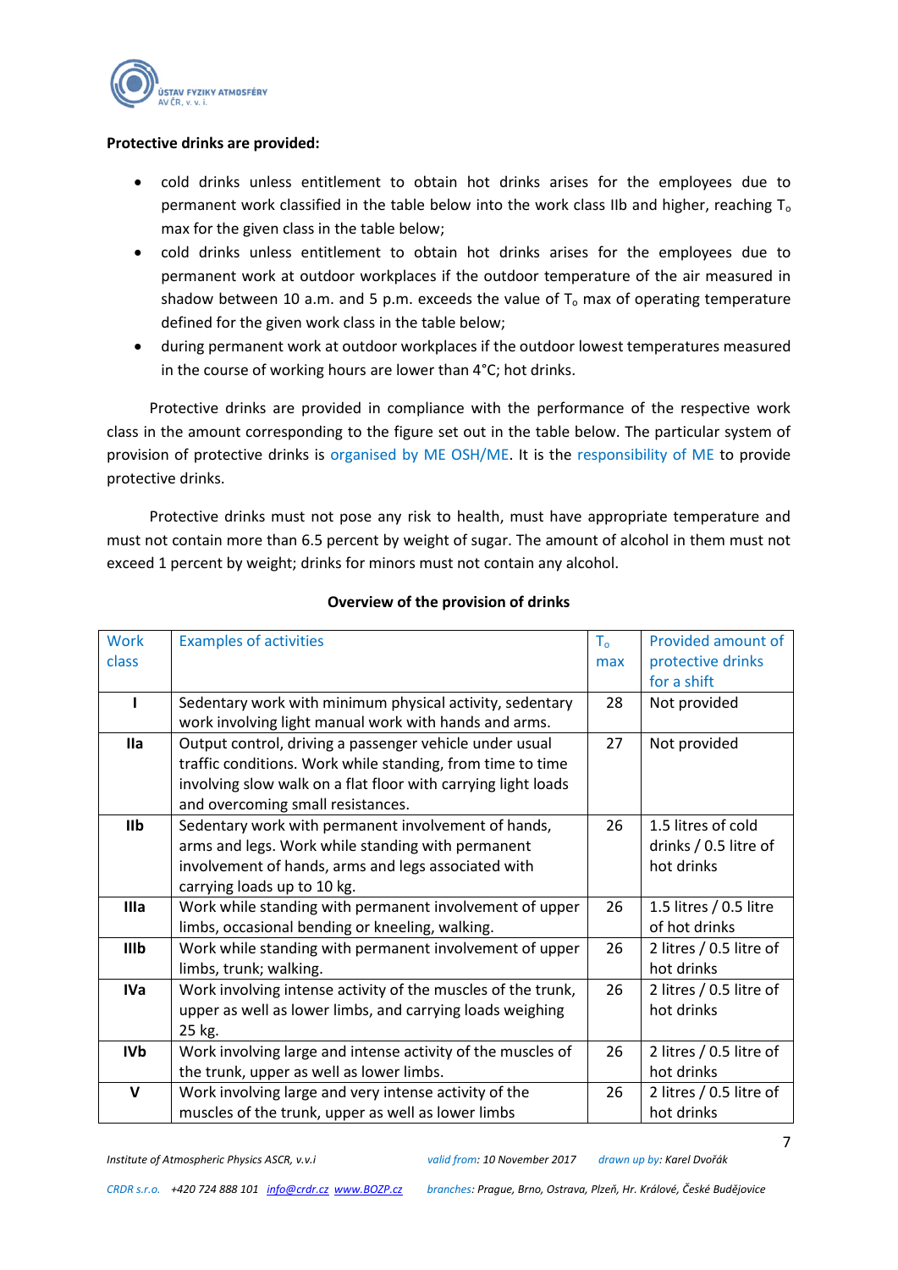

#### **Protective drinks are provided:**

- cold drinks unless entitlement to obtain hot drinks arises for the employees due to permanent work classified in the table below into the work class IIb and higher, reaching T<sub>o</sub> max for the given class in the table below;
- cold drinks unless entitlement to obtain hot drinks arises for the employees due to permanent work at outdoor workplaces if the outdoor temperature of the air measured in shadow between 10 a.m. and 5 p.m. exceeds the value of  $T_0$  max of operating temperature defined for the given work class in the table below;
- during permanent work at outdoor workplaces if the outdoor lowest temperatures measured in the course of working hours are lower than 4°C; hot drinks.

Protective drinks are provided in compliance with the performance of the respective work class in the amount corresponding to the figure set out in the table below. The particular system of provision of protective drinks is organised by ME OSH/ME. It is the responsibility of ME to provide protective drinks.

Protective drinks must not pose any risk to health, must have appropriate temperature and must not contain more than 6.5 percent by weight of sugar. The amount of alcohol in them must not exceed 1 percent by weight; drinks for minors must not contain any alcohol.

| <b>Work</b>  | <b>Examples of activities</b>                                 | T <sub>o</sub> | Provided amount of      |
|--------------|---------------------------------------------------------------|----------------|-------------------------|
| class        |                                                               | max            | protective drinks       |
|              |                                                               |                | for a shift             |
|              | Sedentary work with minimum physical activity, sedentary      | 28             | Not provided            |
|              | work involving light manual work with hands and arms.         |                |                         |
| lla          | Output control, driving a passenger vehicle under usual       | 27             | Not provided            |
|              | traffic conditions. Work while standing, from time to time    |                |                         |
|              | involving slow walk on a flat floor with carrying light loads |                |                         |
|              | and overcoming small resistances.                             |                |                         |
| <b>IIb</b>   | Sedentary work with permanent involvement of hands,           | 26             | 1.5 litres of cold      |
|              | arms and legs. Work while standing with permanent             |                | drinks / 0.5 litre of   |
|              | involvement of hands, arms and legs associated with           |                | hot drinks              |
|              | carrying loads up to 10 kg.                                   |                |                         |
| Illa         | Work while standing with permanent involvement of upper       | 26             | 1.5 litres / 0.5 litre  |
|              | limbs, occasional bending or kneeling, walking.               |                | of hot drinks           |
| IIIb         | Work while standing with permanent involvement of upper       | 26             | 2 litres / 0.5 litre of |
|              | limbs, trunk; walking.                                        |                | hot drinks              |
| <b>IVa</b>   | Work involving intense activity of the muscles of the trunk,  | 26             | 2 litres / 0.5 litre of |
|              | upper as well as lower limbs, and carrying loads weighing     |                | hot drinks              |
|              | 25 kg.                                                        |                |                         |
| <b>IVb</b>   | Work involving large and intense activity of the muscles of   | 26             | 2 litres / 0.5 litre of |
|              | the trunk, upper as well as lower limbs.                      |                | hot drinks              |
| $\mathsf{V}$ | Work involving large and very intense activity of the         | 26             | 2 litres / 0.5 litre of |
|              | muscles of the trunk, upper as well as lower limbs            |                | hot drinks              |

#### **Overview of the provision of drinks**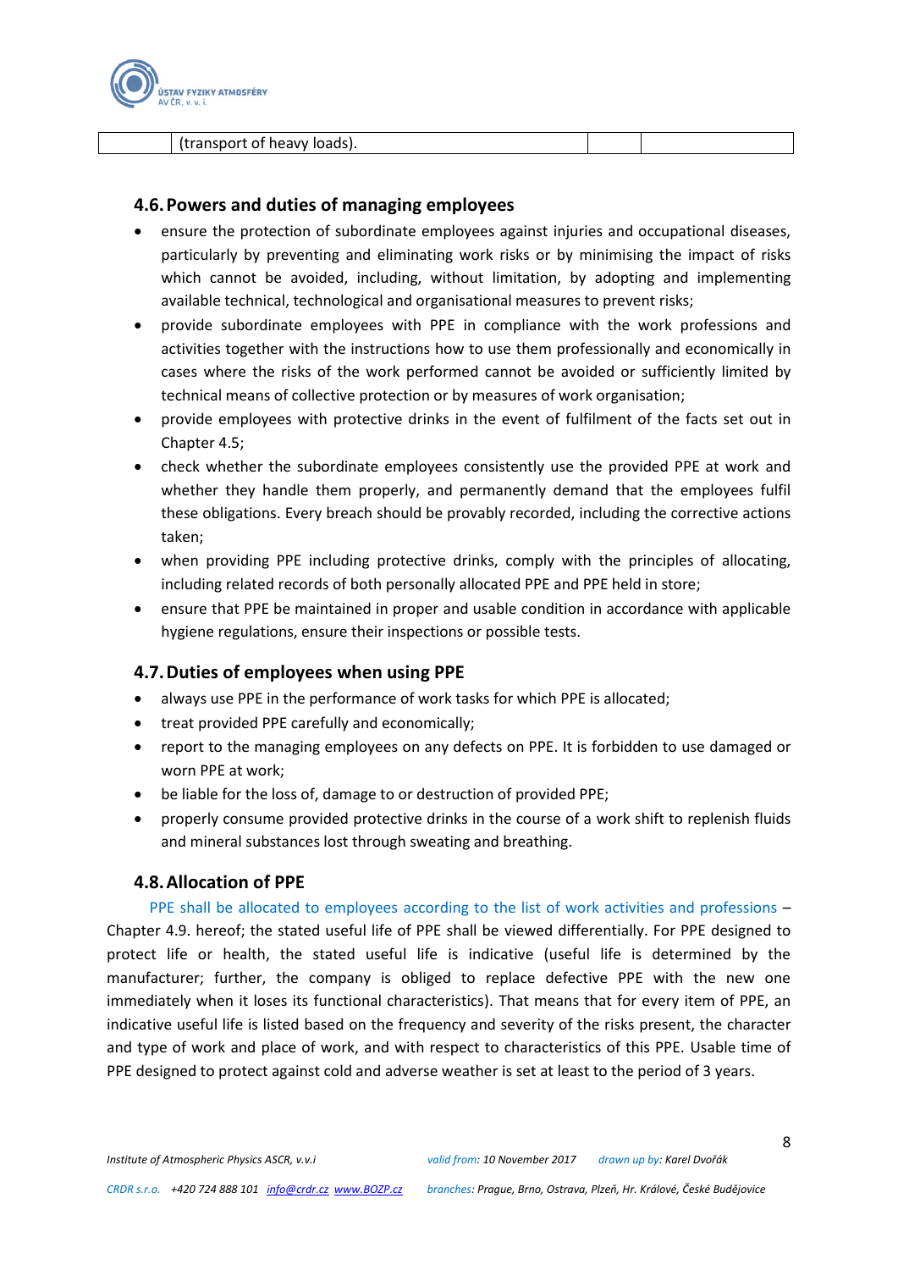

(transport of heavy loads).

#### <span id="page-7-0"></span>**4.6.Powers and duties of managing employees**

- ensure the protection of subordinate employees against injuries and occupational diseases, particularly by preventing and eliminating work risks or by minimising the impact of risks which cannot be avoided, including, without limitation, by adopting and implementing available technical, technological and organisational measures to prevent risks;
- provide subordinate employees with PPE in compliance with the work professions and activities together with the instructions how to use them professionally and economically in cases where the risks of the work performed cannot be avoided or sufficiently limited by technical means of collective protection or by measures of work organisation;
- provide employees with protective drinks in the event of fulfilment of the facts set out in Chapter 4.5;
- check whether the subordinate employees consistently use the provided PPE at work and whether they handle them properly, and permanently demand that the employees fulfil these obligations. Every breach should be provably recorded, including the corrective actions taken;
- when providing PPE including protective drinks, comply with the principles of allocating, including related records of both personally allocated PPE and PPE held in store;
- ensure that PPE be maintained in proper and usable condition in accordance with applicable hygiene regulations, ensure their inspections or possible tests.

#### <span id="page-7-1"></span>**4.7.Duties of employees when using PPE**

- always use PPE in the performance of work tasks for which PPE is allocated;
- treat provided PPE carefully and economically;
- report to the managing employees on any defects on PPE. It is forbidden to use damaged or worn PPE at work;
- be liable for the loss of, damage to or destruction of provided PPE;
- properly consume provided protective drinks in the course of a work shift to replenish fluids and mineral substances lost through sweating and breathing.

#### **4.8.Allocation of PPE**

<span id="page-7-2"></span>PPE shall be allocated to employees according to the list of work activities and professions -Chapter 4.9. hereof; the stated useful life of PPE shall be viewed differentially. For PPE designed to protect life or health, the stated useful life is indicative (useful life is determined by the manufacturer; further, the company is obliged to replace defective PPE with the new one immediately when it loses its functional characteristics). That means that for every item of PPE, an indicative useful life is listed based on the frequency and severity of the risks present, the character and type of work and place of work, and with respect to characteristics of this PPE. Usable time of PPE designed to protect against cold and adverse weather is set at least to the period of 3 years.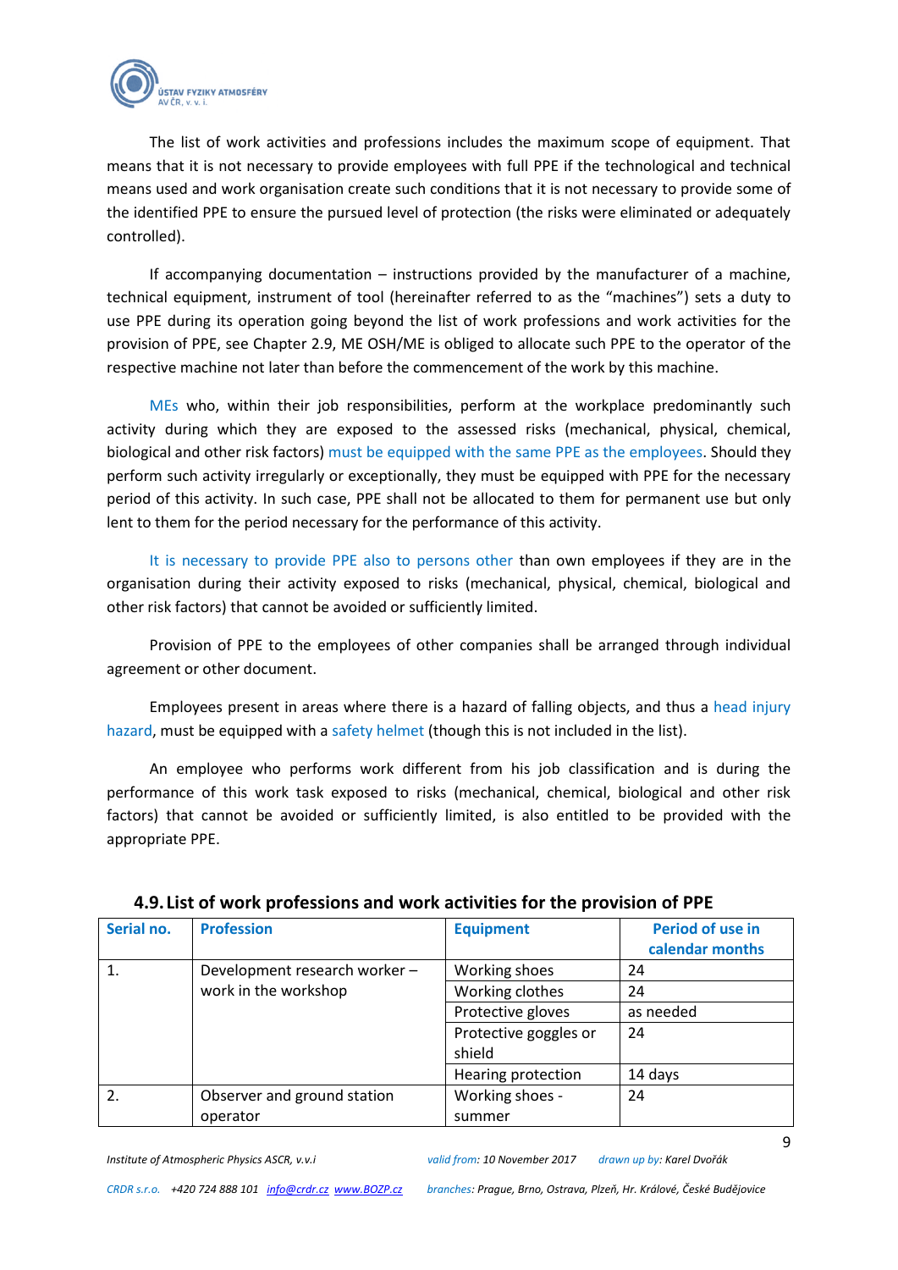

The list of work activities and professions includes the maximum scope of equipment. That means that it is not necessary to provide employees with full PPE if the technological and technical means used and work organisation create such conditions that it is not necessary to provide some of the identified PPE to ensure the pursued level of protection (the risks were eliminated or adequately controlled).

If accompanying documentation – instructions provided by the manufacturer of a machine, technical equipment, instrument of tool (hereinafter referred to as the "machines") sets a duty to use PPE during its operation going beyond the list of work professions and work activities for the provision of PPE, see Chapter 2.9, ME OSH/ME is obliged to allocate such PPE to the operator of the respective machine not later than before the commencement of the work by this machine.

MEs who, within their job responsibilities, perform at the workplace predominantly such activity during which they are exposed to the assessed risks (mechanical, physical, chemical, biological and other risk factors) must be equipped with the same PPE as the employees. Should they perform such activity irregularly or exceptionally, they must be equipped with PPE for the necessary period of this activity. In such case, PPE shall not be allocated to them for permanent use but only lent to them for the period necessary for the performance of this activity.

It is necessary to provide PPE also to persons other than own employees if they are in the organisation during their activity exposed to risks (mechanical, physical, chemical, biological and other risk factors) that cannot be avoided or sufficiently limited.

Provision of PPE to the employees of other companies shall be arranged through individual agreement or other document.

Employees present in areas where there is a hazard of falling objects, and thus a head injury hazard, must be equipped with a safety helmet (though this is not included in the list).

An employee who performs work different from his job classification and is during the performance of this work task exposed to risks (mechanical, chemical, biological and other risk factors) that cannot be avoided or sufficiently limited, is also entitled to be provided with the appropriate PPE.

| Serial no. | <b>Profession</b>             | <b>Equipment</b>      | Period of use in<br>calendar months |
|------------|-------------------------------|-----------------------|-------------------------------------|
|            | Development research worker - | Working shoes         | 24                                  |
|            | work in the workshop          | Working clothes       | 24                                  |
|            |                               | Protective gloves     | as needed                           |
|            |                               | Protective goggles or | 24                                  |
|            |                               | shield                |                                     |
|            |                               | Hearing protection    | 14 days                             |
| 2.         | Observer and ground station   | Working shoes -       | 24                                  |
|            | operator                      | summer                |                                     |

#### <span id="page-8-0"></span>**4.9. List of work professions and work activities for the provision of PPE**

9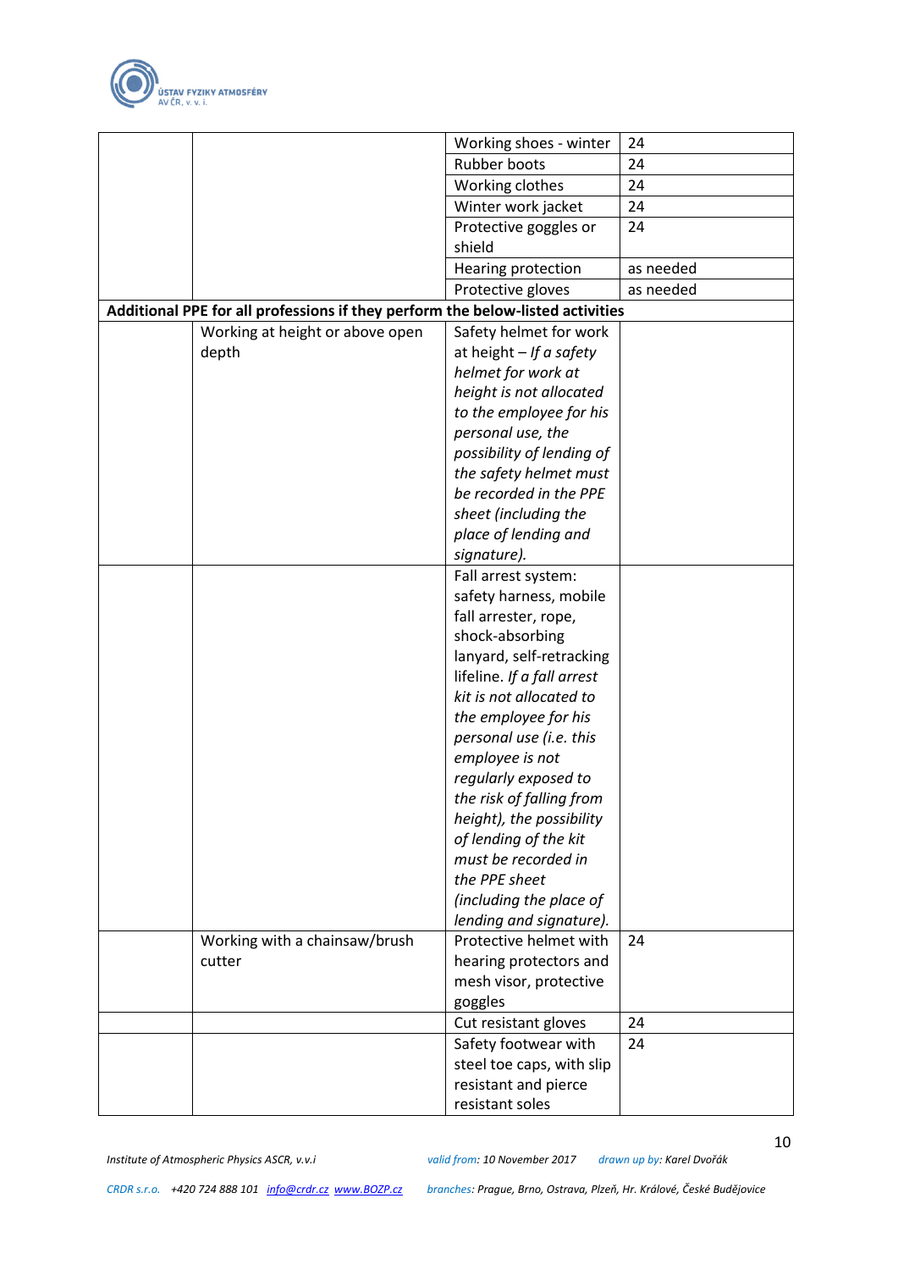

|                                                                                | Working shoes - winter                            | 24        |
|--------------------------------------------------------------------------------|---------------------------------------------------|-----------|
|                                                                                | Rubber boots                                      | 24        |
|                                                                                | Working clothes                                   | 24        |
|                                                                                | Winter work jacket                                | 24        |
|                                                                                | Protective goggles or                             | 24        |
|                                                                                | shield                                            |           |
|                                                                                | Hearing protection                                | as needed |
|                                                                                | Protective gloves                                 | as needed |
| Additional PPE for all professions if they perform the below-listed activities |                                                   |           |
| Working at height or above open                                                | Safety helmet for work                            |           |
| depth                                                                          | at height $-If$ a safety                          |           |
|                                                                                | helmet for work at                                |           |
|                                                                                | height is not allocated                           |           |
|                                                                                | to the employee for his                           |           |
|                                                                                | personal use, the                                 |           |
|                                                                                | possibility of lending of                         |           |
|                                                                                | the safety helmet must                            |           |
|                                                                                | be recorded in the PPE                            |           |
|                                                                                | sheet (including the                              |           |
|                                                                                | place of lending and                              |           |
|                                                                                | signature).                                       |           |
|                                                                                | Fall arrest system:                               |           |
|                                                                                | safety harness, mobile                            |           |
|                                                                                | fall arrester, rope,                              |           |
|                                                                                | shock-absorbing                                   |           |
|                                                                                | lanyard, self-retracking                          |           |
|                                                                                | lifeline. If a fall arrest                        |           |
|                                                                                | kit is not allocated to                           |           |
|                                                                                | the employee for his                              |           |
|                                                                                | personal use (i.e. this                           |           |
|                                                                                | employee is not                                   |           |
|                                                                                | regularly exposed to                              |           |
|                                                                                | the risk of falling from                          |           |
|                                                                                | height), the possibility                          |           |
|                                                                                | of lending of the kit                             |           |
|                                                                                | must be recorded in                               |           |
|                                                                                | the PPE sheet                                     |           |
|                                                                                | (including the place of                           |           |
|                                                                                | lending and signature).                           |           |
| Working with a chainsaw/brush                                                  | Protective helmet with                            | 24        |
| cutter                                                                         | hearing protectors and<br>mesh visor, protective  |           |
|                                                                                | goggles                                           |           |
|                                                                                |                                                   | 24        |
|                                                                                | Cut resistant gloves                              | 24        |
|                                                                                | Safety footwear with<br>steel toe caps, with slip |           |
|                                                                                | resistant and pierce                              |           |
|                                                                                | resistant soles                                   |           |
|                                                                                |                                                   |           |